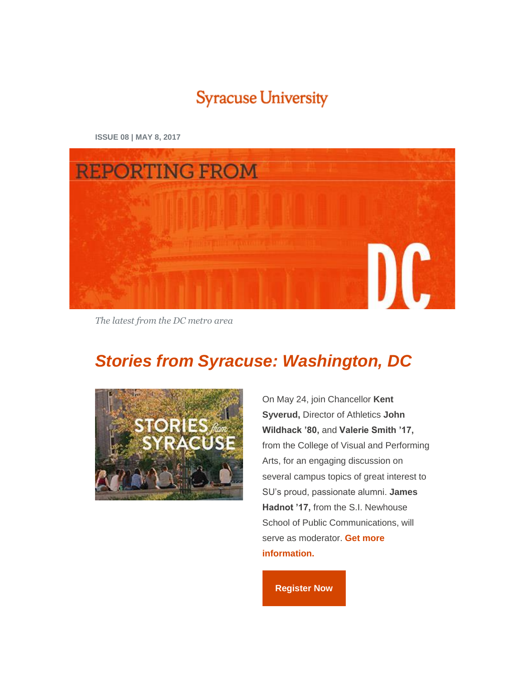# **Syracuse University**

**ISSUE 08 | MAY 8, 2017**



*The latest from the DC metro area*

## *[Stories from Syracuse: Washington, DC](http://cusecommunity.syr.edu/s/1632/02-Alumni/index.aspx?sid=1632&pgid=1869&gid=2&cid=3577&ecid=3577&post_id=0&authkey=authkey)*



On May 24, join Chancellor **Kent Syverud,** Director of Athletics **John Wildhack '80,** and **Valerie Smith '17,** from the College of Visual and Performing Arts, for an engaging discussion on several campus topics of great interest to SU's proud, passionate alumni. **James Hadnot '17,** from the S.I. Newhouse School of Public Communications, will serve as moderator. **[Get more](http://cusecommunity.syr.edu/s/1632/02-Alumni/index.aspx?sid=1632&pgid=1869&gid=2&cid=3577&ecid=3577&post_id=0&authkey=authkey)  [information.](http://cusecommunity.syr.edu/s/1632/02-Alumni/index.aspx?sid=1632&pgid=1869&gid=2&cid=3577&ecid=3577&post_id=0&authkey=authkey)**

**[Register](http://cusecommunity.syr.edu/s/1632/02-Alumni/index.aspx?sid=1632&pgid=1869&gid=2&cid=3577&ecid=3577&post_id=0&authkey=authkey) Now**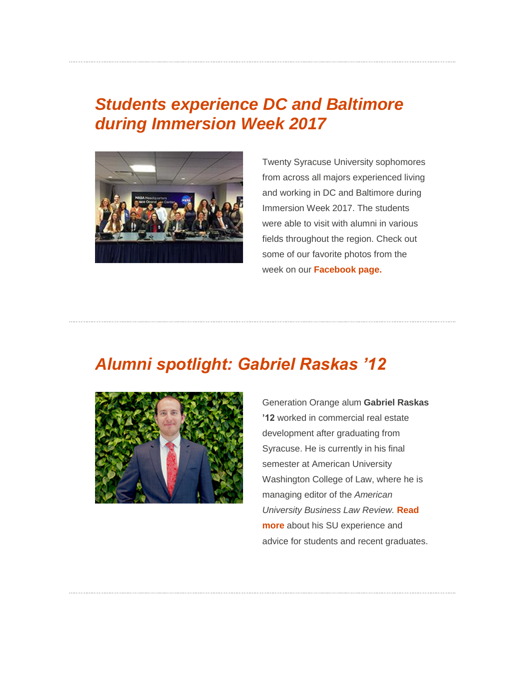### *[Students experience DC and Baltimore](https://www.facebook.com/pg/GreenbergHouse/photos/?tab=album&album_id=10154209608381688)  [during Immersion Week 2017](https://www.facebook.com/pg/GreenbergHouse/photos/?tab=album&album_id=10154209608381688)*



Twenty Syracuse University sophomores from across all majors experienced living and working in DC and Baltimore during Immersion Week 2017. The students were able to visit with alumni in various fields throughout the region. Check out some of our favorite photos from the week on our **[Facebook page.](https://www.facebook.com/pg/GreenbergHouse/photos/?tab=album&album_id=10154209608381688)**

### *[Alumni spotlight: Gabriel Raskas '12](http://dc.syr.edu/alumni/generation-orange-alumni-profiles/gabriel-raskas-profile.html)*



Generation Orange alum **Gabriel Raskas '12** worked in commercial real estate development after graduating from Syracuse. He is currently in his final semester at American University Washington College of Law, where he is managing editor of the *American University Business Law Review.* **[Read](http://dc.syr.edu/alumni/generation-orange-alumni-profiles/gabriel-raskas-profile.html)  [more](http://dc.syr.edu/alumni/generation-orange-alumni-profiles/gabriel-raskas-profile.html)** about his SU experience and advice for students and recent graduates.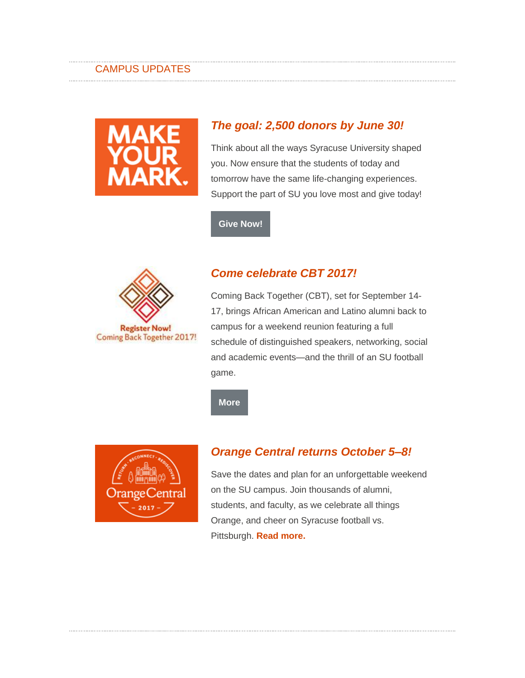#### CAMPUS UPDATES



### *[The goal: 2,500 donors by June 30!](http://cusecommunity.syr.edu/s/1632/02-Alumni/index.aspx?sid=1632&gid=2&pgid=1925&utm_source=dc_newsletter&utm_medium=pr&utm_campaign=mym_2017&utm_content=make_a_gift)*

Think about all the ways Syracuse University shaped you. Now ensure that the students of today and tomorrow have the same life-changing experiences. Support the part of SU you love most and give today!

**Give [Now!](http://cusecommunity.syr.edu/s/1632/02-Alumni/index.aspx?sid=1632&gid=2&pgid=1925&utm_source=dc_newsletter&utm_medium=pr&utm_campaign=mym_2017&utm_content=make_a_gift)**



#### *[Come celebrate CBT 2017!](http://programdevelopment.syr.edu/events/coming-back-together-2017/)*

Coming Back Together (CBT), set for September 14- 17, brings African American and Latino alumni back to campus for a weekend reunion featuring a full schedule of distinguished speakers, networking, social and academic events—and the thrill of an SU football game.

**[More](http://programdevelopment.syr.edu/events/coming-back-together-2017/)**



#### *[Orange Central returns October 5–8!](http://orangecentral.syr.edu/?utm_source=dc_newsletter&utm_medium=pr&utm_campaign=orange_central_2017&utm_content=visit_orange_central)*

Save the dates and plan for an unforgettable weekend on the SU campus. Join thousands of alumni, students, and faculty, as we celebrate all things Orange, and cheer on Syracuse football vs. Pittsburgh. **[Read more.](http://orangecentral.syr.edu/?utm_source=dc_newsletter&utm_medium=pr&utm_campaign=orange_central_2017&utm_content=visit_orange_central)**